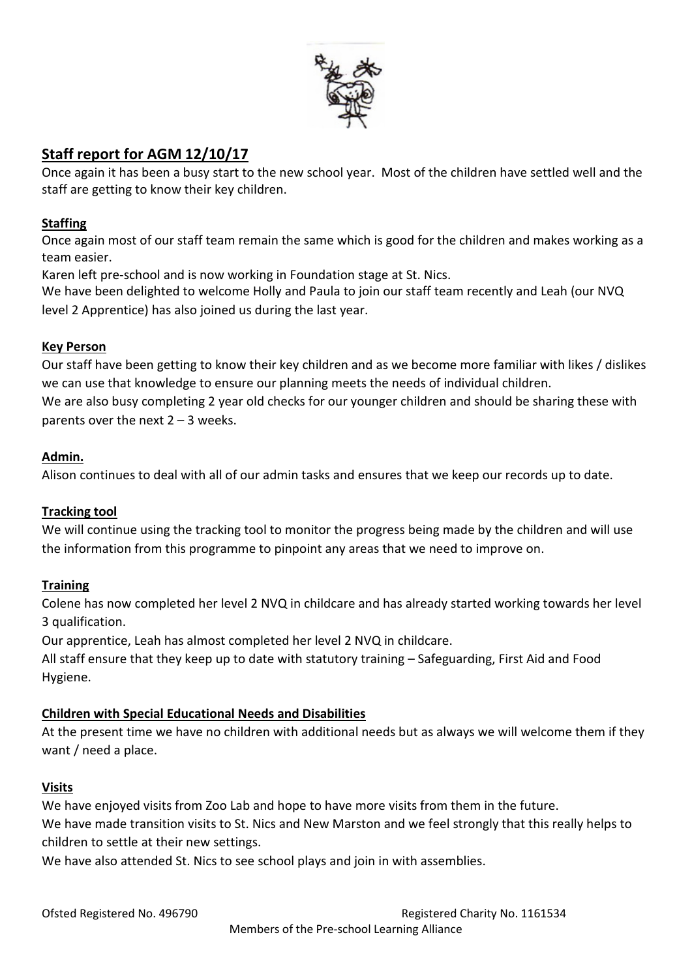

# **Staff report for AGM 12/10/17**

Once again it has been a busy start to the new school year. Most of the children have settled well and the staff are getting to know their key children.

### **Staffing**

Once again most of our staff team remain the same which is good for the children and makes working as a team easier.

Karen left pre-school and is now working in Foundation stage at St. Nics.

We have been delighted to welcome Holly and Paula to join our staff team recently and Leah (our NVQ level 2 Apprentice) has also joined us during the last year.

### **Key Person**

Our staff have been getting to know their key children and as we become more familiar with likes / dislikes we can use that knowledge to ensure our planning meets the needs of individual children.

We are also busy completing 2 year old checks for our younger children and should be sharing these with parents over the next  $2 - 3$  weeks.

### **Admin.**

Alison continues to deal with all of our admin tasks and ensures that we keep our records up to date.

# **Tracking tool**

We will continue using the tracking tool to monitor the progress being made by the children and will use the information from this programme to pinpoint any areas that we need to improve on.

# **Training**

Colene has now completed her level 2 NVQ in childcare and has already started working towards her level 3 qualification.

Our apprentice, Leah has almost completed her level 2 NVQ in childcare.

All staff ensure that they keep up to date with statutory training – Safeguarding, First Aid and Food Hygiene.

# **Children with Special Educational Needs and Disabilities**

At the present time we have no children with additional needs but as always we will welcome them if they want / need a place.

# **Visits**

We have enjoyed visits from Zoo Lab and hope to have more visits from them in the future. We have made transition visits to St. Nics and New Marston and we feel strongly that this really helps to children to settle at their new settings.

We have also attended St. Nics to see school plays and join in with assemblies.

Ofsted Registered No. 496790 **Registered Charity No. 1161534** Members of the Pre-school Learning Alliance